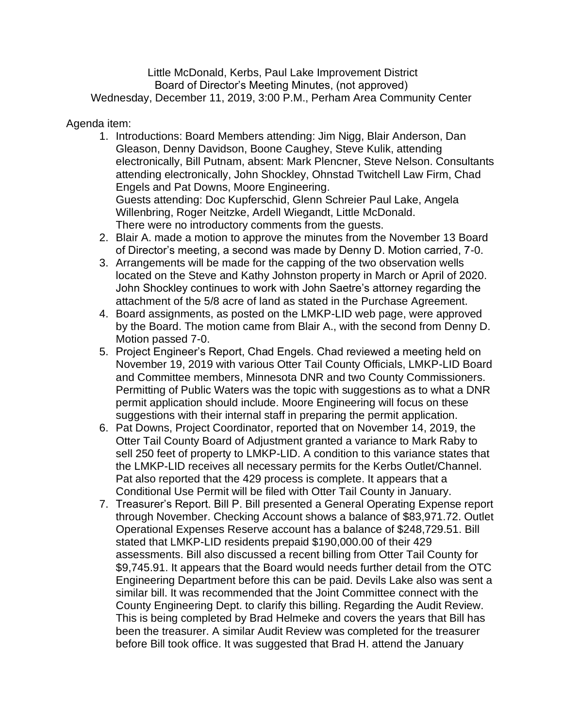Little McDonald, Kerbs, Paul Lake Improvement District Board of Director's Meeting Minutes, (not approved) Wednesday, December 11, 2019, 3:00 P.M., Perham Area Community Center

## Agenda item:

- 1. Introductions: Board Members attending: Jim Nigg, Blair Anderson, Dan Gleason, Denny Davidson, Boone Caughey, Steve Kulik, attending electronically, Bill Putnam, absent: Mark Plencner, Steve Nelson. Consultants attending electronically, John Shockley, Ohnstad Twitchell Law Firm, Chad Engels and Pat Downs, Moore Engineering. Guests attending: Doc Kupferschid, Glenn Schreier Paul Lake, Angela Willenbring, Roger Neitzke, Ardell Wiegandt, Little McDonald. There were no introductory comments from the guests.
- 2. Blair A. made a motion to approve the minutes from the November 13 Board of Director's meeting, a second was made by Denny D. Motion carried, 7-0.
- 3. Arrangements will be made for the capping of the two observation wells located on the Steve and Kathy Johnston property in March or April of 2020. John Shockley continues to work with John Saetre's attorney regarding the attachment of the 5/8 acre of land as stated in the Purchase Agreement.
- 4. Board assignments, as posted on the LMKP-LID web page, were approved by the Board. The motion came from Blair A., with the second from Denny D. Motion passed 7-0.
- 5. Project Engineer's Report, Chad Engels. Chad reviewed a meeting held on November 19, 2019 with various Otter Tail County Officials, LMKP-LID Board and Committee members, Minnesota DNR and two County Commissioners. Permitting of Public Waters was the topic with suggestions as to what a DNR permit application should include. Moore Engineering will focus on these suggestions with their internal staff in preparing the permit application.
- 6. Pat Downs, Project Coordinator, reported that on November 14, 2019, the Otter Tail County Board of Adjustment granted a variance to Mark Raby to sell 250 feet of property to LMKP-LID. A condition to this variance states that the LMKP-LID receives all necessary permits for the Kerbs Outlet/Channel. Pat also reported that the 429 process is complete. It appears that a Conditional Use Permit will be filed with Otter Tail County in January.
- 7. Treasurer's Report. Bill P. Bill presented a General Operating Expense report through November. Checking Account shows a balance of \$83,971.72. Outlet Operational Expenses Reserve account has a balance of \$248,729.51. Bill stated that LMKP-LID residents prepaid \$190,000.00 of their 429 assessments. Bill also discussed a recent billing from Otter Tail County for \$9,745.91. It appears that the Board would needs further detail from the OTC Engineering Department before this can be paid. Devils Lake also was sent a similar bill. It was recommended that the Joint Committee connect with the County Engineering Dept. to clarify this billing. Regarding the Audit Review. This is being completed by Brad Helmeke and covers the years that Bill has been the treasurer. A similar Audit Review was completed for the treasurer before Bill took office. It was suggested that Brad H. attend the January